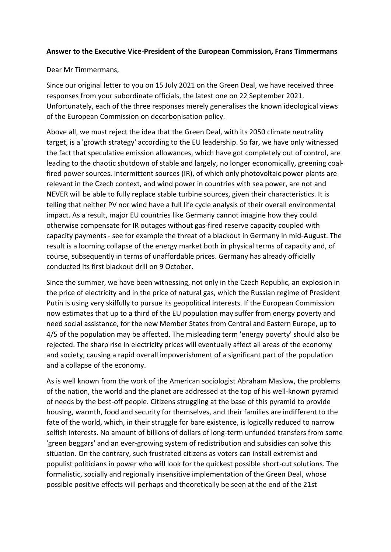## **Answer to the Executive Vice-President of the European Commission, Frans Timmermans**

Dear Mr Timmermans,

Since our original letter to you on 15 July 2021 on the Green Deal, we have received three responses from your subordinate officials, the latest one on 22 September 2021. Unfortunately, each of the three responses merely generalises the known ideological views of the European Commission on decarbonisation policy.

Above all, we must reject the idea that the Green Deal, with its 2050 climate neutrality target, is a 'growth strategy' according to the EU leadership. So far, we have only witnessed the fact that speculative emission allowances, which have got completely out of control, are leading to the chaotic shutdown of stable and largely, no longer economically, greening coalfired power sources. Intermittent sources (IR), of which only photovoltaic power plants are relevant in the Czech context, and wind power in countries with sea power, are not and NEVER will be able to fully replace stable turbine sources, given their characteristics. It is telling that neither PV nor wind have a full life cycle analysis of their overall environmental impact. As a result, major EU countries like Germany cannot imagine how they could otherwise compensate for IR outages without gas-fired reserve capacity coupled with capacity payments - see for example the threat of a blackout in Germany in mid-August. The result is a looming collapse of the energy market both in physical terms of capacity and, of course, subsequently in terms of unaffordable prices. Germany has already officially conducted its first blackout drill on 9 October.

Since the summer, we have been witnessing, not only in the Czech Republic, an explosion in the price of electricity and in the price of natural gas, which the Russian regime of President Putin is using very skilfully to pursue its geopolitical interests. If the European Commission now estimates that up to a third of the EU population may suffer from energy poverty and need social assistance, for the new Member States from Central and Eastern Europe, up to 4/5 of the population may be affected. The misleading term 'energy poverty' should also be rejected. The sharp rise in electricity prices will eventually affect all areas of the economy and society, causing a rapid overall impoverishment of a significant part of the population and a collapse of the economy.

As is well known from the work of the American sociologist Abraham Maslow, the problems of the nation, the world and the planet are addressed at the top of his well-known pyramid of needs by the best-off people. Citizens struggling at the base of this pyramid to provide housing, warmth, food and security for themselves, and their families are indifferent to the fate of the world, which, in their struggle for bare existence, is logically reduced to narrow selfish interests. No amount of billions of dollars of long-term unfunded transfers from some 'green beggars' and an ever-growing system of redistribution and subsidies can solve this situation. On the contrary, such frustrated citizens as voters can install extremist and populist politicians in power who will look for the quickest possible short-cut solutions. The formalistic, socially and regionally insensitive implementation of the Green Deal, whose possible positive effects will perhaps and theoretically be seen at the end of the 21st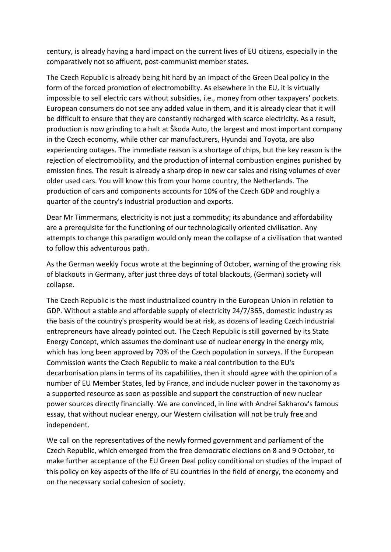century, is already having a hard impact on the current lives of EU citizens, especially in the comparatively not so affluent, post-communist member states.

The Czech Republic is already being hit hard by an impact of the Green Deal policy in the form of the forced promotion of electromobility. As elsewhere in the EU, it is virtually impossible to sell electric cars without subsidies, i.e., money from other taxpayers' pockets. European consumers do not see any added value in them, and it is already clear that it will be difficult to ensure that they are constantly recharged with scarce electricity. As a result, production is now grinding to a halt at Škoda Auto, the largest and most important company in the Czech economy, while other car manufacturers, Hyundai and Toyota, are also experiencing outages. The immediate reason is a shortage of chips, but the key reason is the rejection of electromobility, and the production of internal combustion engines punished by emission fines. The result is already a sharp drop in new car sales and rising volumes of ever older used cars. You will know this from your home country, the Netherlands. The production of cars and components accounts for 10% of the Czech GDP and roughly a quarter of the country's industrial production and exports.

Dear Mr Timmermans, electricity is not just a commodity; its abundance and affordability are a prerequisite for the functioning of our technologically oriented civilisation. Any attempts to change this paradigm would only mean the collapse of a civilisation that wanted to follow this adventurous path.

As the German weekly Focus wrote at the beginning of October, warning of the growing risk of blackouts in Germany, after just three days of total blackouts, (German) society will collapse.

The Czech Republic is the most industrialized country in the European Union in relation to GDP. Without a stable and affordable supply of electricity 24/7/365, domestic industry as the basis of the country's prosperity would be at risk, as dozens of leading Czech industrial entrepreneurs have already pointed out. The Czech Republic is still governed by its State Energy Concept, which assumes the dominant use of nuclear energy in the energy mix, which has long been approved by 70% of the Czech population in surveys. If the European Commission wants the Czech Republic to make a real contribution to the EU's decarbonisation plans in terms of its capabilities, then it should agree with the opinion of a number of EU Member States, led by France, and include nuclear power in the taxonomy as a supported resource as soon as possible and support the construction of new nuclear power sources directly financially. We are convinced, in line with Andrei Sakharov's famous essay, that without nuclear energy, our Western civilisation will not be truly free and independent.

We call on the representatives of the newly formed government and parliament of the Czech Republic, which emerged from the free democratic elections on 8 and 9 October, to make further acceptance of the EU Green Deal policy conditional on studies of the impact of this policy on key aspects of the life of EU countries in the field of energy, the economy and on the necessary social cohesion of society.